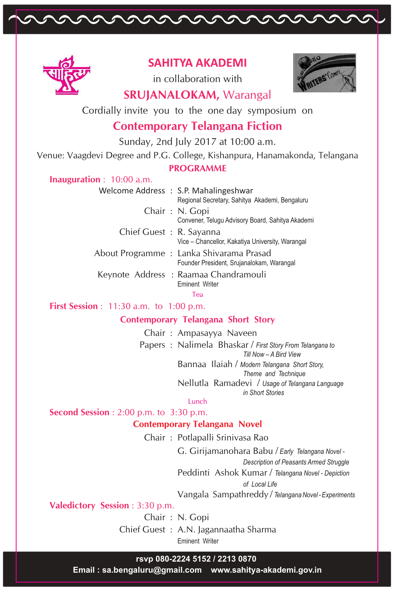

## **SAHITYA AKADEMI**

paramanananana

in collaboration with



# **SRUJANALOKAM,** Warangal

Cordially invite you to the one day symposium on

# **Contemporary Telangana Fiction**

Sunday, 2nd July 2017 at 10:00 a.m.

Venue: Vaagdevi Degree and P.G. College, Kishanpura, Hanamakonda, Telangana

#### **PROGRAMME**

### **Inauguration** : 10:00 a.m.

|                         | Welcome Address : S.P. Mahalingeshwar<br>Regional Secretary, Sahitya Akademi, Bengaluru |
|-------------------------|-----------------------------------------------------------------------------------------|
|                         | Chair: N. Gopi<br>Convener, Telugu Advisory Board, Sahitya Akademi                      |
| Chief Guest: R. Sayanna | Vice - Chancellor, Kakatiya University, Warangal                                        |
|                         | About Programme : Lanka Shivarama Prasad<br>Founder President, Srujanalokam, Warangal   |
|                         | Keynote Address: Raamaa Chandramouli<br><b>Fminent Writer</b>                           |

Tea

**First Session** : 11:30 a.m. to 1:00 p.m.

## **Contemporary Telangana Short Story**

Chair : Ampasayya Naveen Papers : Nalimela Bhaskar / *First Story From Telangana to Till Now – A Bird View*  Bannaa Ilaiah / *Modern Telangana Short Story, Theme and Technique*  Nellutla Ramadevi / *Usage of Telangana Language in Short Stories*

#### Lunch

**Second Session** : 2:00 p.m. to 3:30 p.m.

### **Contemporary Telangana Novel**

Chair : Potlapalli Srinivasa Rao

G. Girijamanohara Babu / *Early Telangana Novel -*

*Description of Peasants Armed Struggle* 

Peddinti Ashok Kumar / *Telangana Novel - Depiction* 

*of Local Life* 

Vangala Sampathreddy / *Telangana Novel - Experiments*

**Valedictory Session** : 3:30 p.m.

Chair : N. Gopi

Chief Guest : A.N. Jagannaatha Sharma Eminent Writer

### **rsvp 080-2224 5152 / 2213 0870**

 **Email : sa.bengaluru@gmail.com www.sahitya-akademi.gov.in**